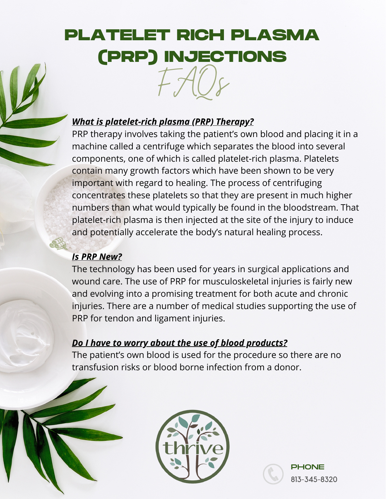### *What is platelet-rich plasma (PRP) Therapy?*

PRP therapy involves taking the patient's own blood and placing it in a machine called a centrifuge which separates the blood into several components, one of which is called platelet-rich plasma. Platelets contain many growth factors which have been shown to be very important with regard to healing. The process of centrifuging concentrates these platelets so that they are present in much higher numbers than what would typically be found in the bloodstream. That platelet-rich plasma is then injected at the site of the injury to induce and potentially accelerate the body's natural healing process.

### *Is PRP New?*

The technology has been used for years in surgical applications and wound care. The use of PRP for musculoskeletal injuries is fairly new and evolving into a promising treatment for both acute and chronic injuries. There are a number of medical studies supporting the use of PRP for tendon and ligament injuries.

### *Do I have to worry about the use of blood products?*

The patient's own blood is used for the procedure so there are no transfusion risks or blood borne infection from a donor.

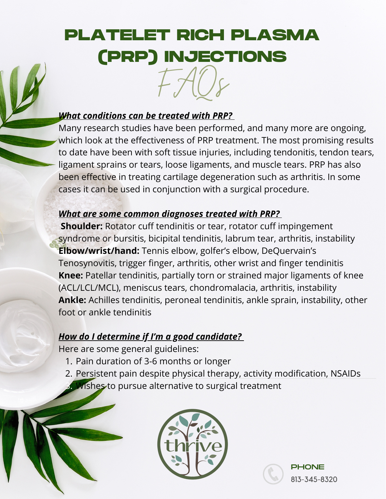#### *What conditions can be treated with PRP?*

Many research studies have been performed, and many more are ongoing, which look at the effectiveness of PRP treatment. The most promising results to date have been with soft tissue injuries, including tendonitis, tendon tears, ligament sprains or tears, loose ligaments, and muscle tears. PRP has also been effective in treating cartilage degeneration such as arthritis. In some cases it can be used in conjunction with a surgical procedure.

#### *What are some common diagnoses treated with PRP?*

**Shoulder:** Rotator cuff tendinitis or tear, rotator cuff impingement syndrome or bursitis, bicipital tendinitis, labrum tear, arthritis, instability **Elbow/wrist/hand:** Tennis elbow, golfer's elbow, DeQuervain's Tenosynovitis, trigger finger, arthritis, other wrist and finger tendinitis **Knee:** Patellar tendinitis, partially torn or strained major ligaments of knee (ACL/LCL/MCL), meniscus tears, chondromalacia, arthritis, instability **Ankle:** Achilles tendinitis, peroneal tendinitis, ankle sprain, instability, other foot or ankle tendinitis

#### *How do I determine if I'm a good candidate?*

Here are some general guidelines:

- 1. Pain duration of 3-6 months or longer
- Persistent pain despite physical therapy, activity modification, NSAIDs 2. **3. Wishes to pursue alternative to surgical treatment**



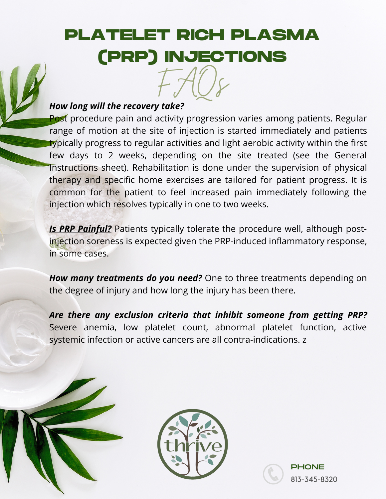#### *How long will the recovery take?*

Post procedure pain and activity progression varies among patients. Regular range of motion at the site of injection is started immediately and patients typically progress to regular activities and light aerobic activity within the first few days to 2 weeks, depending on the site treated (see the General Instructions sheet). Rehabilitation is done under the supervision of physical therapy and specific home exercises are tailored for patient progress. It is common for the patient to feel increased pain immediately following the injection which resolves typically in one to two weeks.

*Is PRP Painful?* Patients typically tolerate the procedure well, although postinjection soreness is expected given the PRP-induced inflammatory response, in some cases.

*How many treatments do you need?* One to three treatments depending on the degree of injury and how long the injury has been there.

*Are there any exclusion criteria that inhibit someone from getting PRP?* Severe anemia, low platelet count, abnormal platelet function, active systemic infection or active cancers are all contra-indications. z